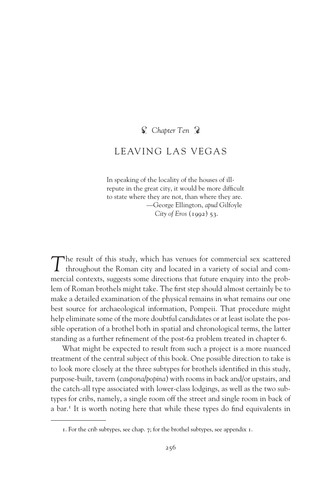## $\mathcal{C}$  Chapter Ten  $\mathcal{D}$

## LEAVING LAS VEGAS

In speaking of the locality of the houses of illrepute in the great city, it would be more difficult to state where they are not, than where they are. —George Ellington, *apud* Gilfoyle *City of Eros* (1992) 53.

The result of this study, which has venues for commercial sex scattered<br>throughout the Roman city and located in a variety of social and comthroughout the Roman city and located in a variety of social and commercial contexts, suggests some directions that future enquiry into the problem of Roman brothels might take. The first step should almost certainly be to make a detailed examination of the physical remains in what remains our one best source for archaeological information, Pompeii. That procedure might help eliminate some of the more doubtful candidates or at least isolate the possible operation of a brothel both in spatial and chronological terms, the latter standing as a further refinement of the post-62 problem treated in chapter 6.

What might be expected to result from such a project is a more nuanced treatment of the central subject of this book. One possible direction to take is to look more closely at the three subtypes for brothels identified in this study, purpose-built, tavern (*caupona/popina*) with rooms in back and/or upstairs, and the catch-all type associated with lower-class lodgings, as well as the two subtypes for cribs, namely, a single room off the street and single room in back of a bar.<sup>1</sup> It is worth noting here that while these types do find equivalents in

<sup>1.</sup> For the crib subtypes, see chap. 7; for the brothel subtypes, see appendix 1.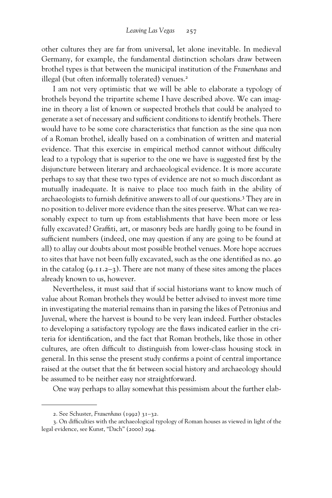other cultures they are far from universal, let alone inevitable. In medieval Germany, for example, the fundamental distinction scholars draw between brothel types is that between the municipal institution of the *Frauenhaus* and illegal (but often informally tolerated) venues.<sup>2</sup>

I am not very optimistic that we will be able to elaborate a typology of brothels beyond the tripartite scheme I have described above. We can imagine in theory a list of known or suspected brothels that could be analyzed to generate a set of necessary and sufficient conditions to identify brothels. There would have to be some core characteristics that function as the sine qua non of a Roman brothel, ideally based on a combination of written and material evidence. That this exercise in empirical method cannot without difficulty lead to a typology that is superior to the one we have is suggested first by the disjuncture between literary and archaeological evidence. It is more accurate perhaps to say that these two types of evidence are not so much discordant as mutually inadequate. It is naive to place too much faith in the ability of archaeologists to furnish definitive answers to all of our questions.<sup>3</sup> They are in no position to deliver more evidence than the sites preserve. What can we reasonably expect to turn up from establishments that have been more or less fully excavated? Graffiti, art, or masonry beds are hardly going to be found in sufficient numbers (indeed, one may question if any are going to be found at all) to allay our doubts about most possible brothel venues. More hope accrues to sites that have not been fully excavated, such as the one identified as no. 40 in the catalog (9.11.2–3). There are not many of these sites among the places already known to us, however.

Nevertheless, it must said that if social historians want to know much of value about Roman brothels they would be better advised to invest more time in investigating the material remains than in parsing the likes of Petronius and Juvenal, where the harvest is bound to be very lean indeed. Further obstacles to developing a satisfactory typology are the flaws indicated earlier in the criteria for identification, and the fact that Roman brothels, like those in other cultures, are often difficult to distinguish from lower-class housing stock in general. In this sense the present study confirms a point of central importance raised at the outset that the fit between social history and archaeology should be assumed to be neither easy nor straightforward.

One way perhaps to allay somewhat this pessimism about the further elab-

<sup>2.</sup> See Schuster, *Frauenhaus* (1992) 31–32.

<sup>3.</sup> On difficulties with the archaeological typology of Roman houses as viewed in light of the legal evidence, see Kunst, "Dach" (2000) 294.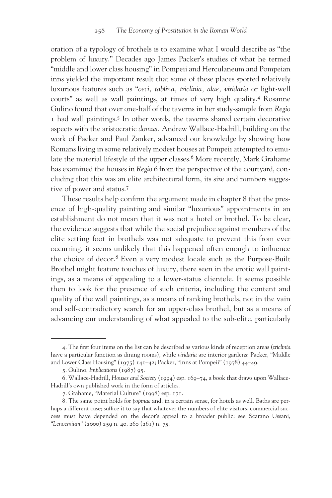oration of a typology of brothels is to examine what I would describe as "the problem of luxury." Decades ago James Packer's studies of what he termed "middle and lower class housing" in Pompeii and Herculaneum and Pompeian inns yielded the important result that some of these places sported relatively luxurious features such as "*oeci, tablina, triclinia, alae, viridaria* or light-well courts" as well as wall paintings, at times of very high quality.4 Rosanne Gulino found that over one-half of the taverns in her study-sample from *Regio* 1 had wall paintings.5 In other words, the taverns shared certain decorative aspects with the aristocratic *domus.* Andrew Wallace-Hadrill, building on the work of Packer and Paul Zanker, advanced our knowledge by showing how Romans living in some relatively modest houses at Pompeii attempted to emulate the material lifestyle of the upper classes.<sup>6</sup> More recently, Mark Grahame has examined the houses in *Regio* 6 from the perspective of the courtyard, concluding that this was an elite architectural form, its size and numbers suggestive of power and status.7

These results help confirm the argument made in chapter 8 that the presence of high-quality painting and similar "luxurious" appointments in an establishment do not mean that it was not a hotel or brothel. To be clear, the evidence suggests that while the social prejudice against members of the elite setting foot in brothels was not adequate to prevent this from ever occurring, it seems unlikely that this happened often enough to influence the choice of decor.8 Even a very modest locale such as the Purpose-Built Brothel might feature touches of luxury, there seen in the erotic wall paintings, as a means of appealing to a lower-status clientele. It seems possible then to look for the presence of such criteria, including the content and quality of the wall paintings, as a means of ranking brothels, not in the vain and self-contradictory search for an upper-class brothel, but as a means of advancing our understanding of what appealed to the sub-elite, particularly

<sup>4.</sup> The first four items on the list can be described as various kinds of reception areas (*triclinia* have a particular function as dining rooms), while *viridaria* are interior gardens: Packer, "Middle and Lower Class Housing" (1975) 141–42; Packer, "Inns at Pompeii" (1978) 44–49.

<sup>5.</sup> Gulino, *Implications* (1987) 95.

<sup>6.</sup> Wallace-Hadrill, *Houses and Society* (1994) esp. 169–74, a book that draws upon Wallace-Hadrill's own published work in the form of articles.

<sup>7.</sup> Grahame, "Material Culture" (1998) esp. 171.

<sup>8.</sup> The same point holds for *popinae* and, in a certain sense, for hotels as well. Baths are perhaps a different case; suffice it to say that whatever the numbers of elite visitors, commercial success must have depended on the decor's appeal to a broader public: see Scarano Ussani, "*Lenocinium*" (2000) 259 n. 40, 260 (261) n. 75.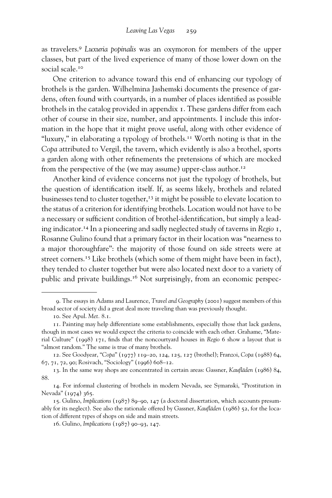as travelers.9 *Luxuria popinalis* was an oxymoron for members of the upper classes, but part of the lived experience of many of those lower down on the social scale.<sup>10</sup>

One criterion to advance toward this end of enhancing our typology of brothels is the garden. Wilhelmina Jashemski documents the presence of gardens, often found with courtyards, in a number of places identified as possible brothels in the catalog provided in appendix 1. These gardens differ from each other of course in their size, number, and appointments. I include this information in the hope that it might prove useful, along with other evidence of "luxury," in elaborating a typology of brothels.11 Worth noting is that in the *Copa* attributed to Vergil, the tavern, which evidently is also a brothel, sports a garden along with other refinements the pretensions of which are mocked from the perspective of the (we may assume) upper-class author.12

Another kind of evidence concerns not just the typology of brothels, but the question of identification itself. If, as seems likely, brothels and related businesses tend to cluster together,<sup>13</sup> it might be possible to elevate location to the status of a criterion for identifying brothels. Location would not have to be a necessary or sufficient condition of brothel-identification, but simply a leading indicator.14 In a pioneering and sadly neglected study of taverns in *Regio* 1, Rosanne Gulino found that a primary factor in their location was "nearness to a major thoroughfare": the majority of those found on side streets were at street corners.<sup>15</sup> Like brothels (which some of them might have been in fact), they tended to cluster together but were also located next door to a variety of public and private buildings.16 Not surprisingly, from an economic perspec-

<sup>9.</sup> The essays in Adams and Laurence, *Travel and Geography* (2001) suggest members of this broad sector of society did a great deal more traveling than was previously thought.

<sup>10.</sup> See Apul. *Met.* 8.1.

<sup>11.</sup> Painting may help differentiate some establishments, especially those that lack gardens, though in most cases we would expect the criteria to coincide with each other. Grahame, "Material Culture" (1998) 171, finds that the noncourtyard houses in *Regio* 6 show a layout that is "almost random." The same is true of many brothels.

<sup>12.</sup> See Goodyear, "*Copa*" (1977) 119–20, 124, 125, 127 (brothel); Franzoi, *Copa* (1988) 64, 67, 71, 72, 90; Rosivach, "Sociology" (1996) 608–12.

<sup>13.</sup> In the same way shops are concentrated in certain areas: Gassner, *Kaufläden* (1986) 84, 88.

<sup>14.</sup> For informal clustering of brothels in modern Nevada, see Symanski, "Prostitution in Nevada" (1974) 365.

<sup>15.</sup> Gulino, *Implications* (1987) 89–90, 147 (a doctoral dissertation, which accounts presumably for its neglect). See also the rationale offered by Gassner, *Kaufläden* (1986) 52, for the location of different types of shops on side and main streets.

<sup>16.</sup> Gulino, *Implications* (1987) 90–93, 147.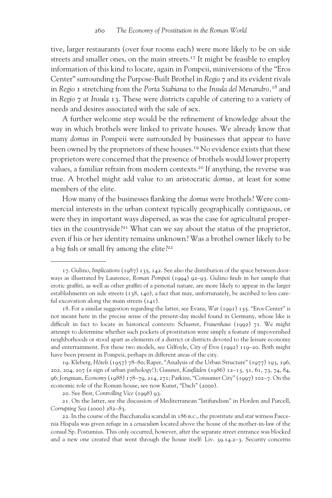tive, larger restaurants (over four rooms each) were more likely to be on side streets and smaller ones, on the main streets.<sup>17</sup> It might be feasible to employ information of this kind to locate, again in Pompeii, miniversions of the "Eros Center" surrounding the Purpose-Built Brothel in *Regio* 7 and its evident rivals in *Regio* 1 stretching from the *Porta Stabiana* to the *Insula del Menandro,*<sup>18</sup> and in *Regio* 7 at *Insula* 13. These were districts capable of catering to a variety of needs and desires associated with the sale of sex.

A further welcome step would be the refinement of knowledge about the way in which brothels were linked to private houses. We already know that many *domus* in Pompeii were surrounded by businesses that appear to have been owned by the proprietors of these houses.19 No evidence exists that these proprietors were concerned that the presence of brothels would lower property values, a familiar refrain from modern contexts.<sup>20</sup> If anything, the reverse was true. A brothel might add value to an aristocratic *domus,* at least for some members of the elite.

How many of the businesses flanking the *domus* were brothels? Were commercial interests in the urban context typically geographically contiguous, or were they in important ways dispersed, as was the case for agricultural properties in the countryside?<sup>21</sup> What can we say about the status of the proprietor, even if his or her identity remains unknown? Was a brothel owner likely to be a big fish or small fry among the elite? $22$ 

<sup>17.</sup> Gulino, *Implications* (1987) 135, 142. See also the distribution of the space between doorways as illustrated by Laurence, *Roman Pompeii* (1994) 92–93. Gulino finds in her sample that erotic graffiti, as well as other graffiti of a personal nature, are more likely to appear in the larger establishments on side streets (138, 140), a fact that may, unfortunately, be ascribed to less careful excavation along the main streets  $(141)$ .

<sup>18.</sup> For a similar suggestion regarding the latter, see Evans, *War* (1991) 135. "Eros Center" is not meant here in the precise sense of the present-day model found in Germany, whose like is difficult in fact to locate in historical contexts: Schuster, *Frauenhaus* (1992) 71. We might attempt to determine whether such pockets of prostitution were simply a feature of impoverished neighborhoods or stood apart as elements of a district or districts devoted to the leisure economy and entertainment. For these two models, see Gilfoyle, *City of Eros* (1992) 119–20. Both might have been present in Pompeii, perhaps in different areas of the city.

<sup>19.</sup> Kleberg, *Hôtels* (1957) 78–80; Raper, "Analysis of the Urban Structure" (1977) 193, 196, 202, 204, 207 (a sign of urban pathology!); Gassner, *Kau݊den* (1986) 12–13, 51, 61, 73, 74, 84, 96; Jongman, *Economy* (1988) 178–79, 214, 271; Parkins, "Consumer City" (1997) 102–7. On the economic role of the Roman house, see now Kunst, "Dach" (2000).

<sup>20.</sup> See Best, *Controlling Vice* (1998) 93.

<sup>21.</sup> On the latter, see the discussion of Mediterranean "latifundism" in Horden and Purcell, *Corrupting Sea* (2000) 282–83.

<sup>22.</sup> In the course of the Bacchanalia scandal in 186 b.c., the prostitute and star witness Faecenia Hispala was given refuge in a *cenaculum* located above the house of the mother-in-law of the consul Sp. Postumius. This only occurred, however, after the separate street entrance was blocked and a new one created that went through the house itself: Liv. 39.14.2–3. Security concerns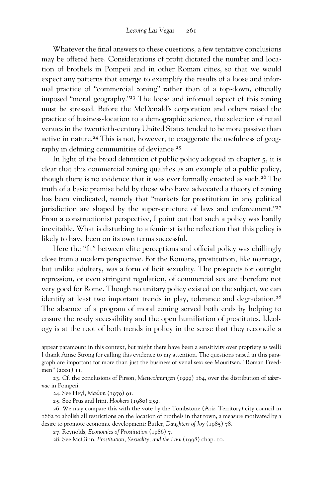Whatever the final answers to these questions, a few tentative conclusions may be offered here. Considerations of profit dictated the number and location of brothels in Pompeii and in other Roman cities, so that we would expect any patterns that emerge to exemplify the results of a loose and informal practice of "commercial zoning" rather than of a top-down, officially imposed "moral geography."23 The loose and informal aspect of this zoning must be stressed. Before the McDonald's corporation and others raised the practice of business-location to a demographic science, the selection of retail venues in the twentieth-century United States tended to be more passive than active in nature.<sup>24</sup> This is not, however, to exaggerate the usefulness of geography in defining communities of deviance.<sup>25</sup>

In light of the broad definition of public policy adopted in chapter 5, it is clear that this commercial zoning qualifies as an example of a public policy, though there is no evidence that it was ever formally enacted as such.26 The truth of a basic premise held by those who have advocated a theory of zoning has been vindicated, namely that "markets for prostitution in any political jurisdiction are shaped by the super-structure of laws and enforcement."<sup>27</sup> From a constructionist perspective, I point out that such a policy was hardly inevitable. What is disturbing to a feminist is the reflection that this policy is likely to have been on its own terms successful.

Here the "fit" between elite perceptions and official policy was chillingly close from a modern perspective. For the Romans, prostitution, like marriage, but unlike adultery, was a form of licit sexuality. The prospects for outright repression, or even stringent regulation, of commercial sex are therefore not very good for Rome. Though no unitary policy existed on the subject, we can identify at least two important trends in play, tolerance and degradation.<sup>28</sup> The absence of a program of moral zoning served both ends by helping to ensure the ready accessibility and the open humiliation of prostitutes. Ideology is at the root of both trends in policy in the sense that they reconcile a

25. See Prus and Irini, *Hookers* (1980) 259.

appear paramount in this context, but might there have been a sensitivity over propriety as well? I thank Anise Strong for calling this evidence to my attention. The questions raised in this paragraph are important for more than just the business of venal sex: see Mouritsen, "Roman Freedmen" (2001) 11.

<sup>23.</sup> Cf. the conclusions of Pirson, *Mietwohnungen* (1999) 164, over the distribution of *tabernae* in Pompeii.

<sup>24.</sup> See Heyl, *Madam* (1979) 91.

<sup>26.</sup> We may compare this with the vote by the Tombstone (Ariz. Territory) city council in 1882 to abolish all restrictions on the location of brothels in that town, a measure motivated by a desire to promote economic development: Butler, *Daughters of Joy* (1985) 78.

<sup>27.</sup> Reynolds, *Economics of Prostitution* (1986) 7.

<sup>28.</sup> See McGinn, *Prostitution, Sexuality, and the Law* (1998) chap. 10.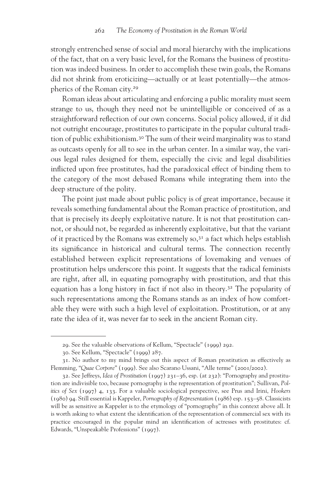strongly entrenched sense of social and moral hierarchy with the implications of the fact, that on a very basic level, for the Romans the business of prostitution was indeed business. In order to accomplish these twin goals, the Romans did not shrink from eroticizing—actually or at least potentially—the atmospherics of the Roman city.29

Roman ideas about articulating and enforcing a public morality must seem strange to us, though they need not be unintelligible or conceived of as a straightforward reflection of our own concerns. Social policy allowed, if it did not outright encourage, prostitutes to participate in the popular cultural tradition of public exhibitionism.30 The sum of their weird marginality was to stand as outcasts openly for all to see in the urban center. In a similar way, the various legal rules designed for them, especially the civic and legal disabilities inflicted upon free prostitutes, had the paradoxical effect of binding them to the category of the most debased Romans while integrating them into the deep structure of the polity.

The point just made about public policy is of great importance, because it reveals something fundamental about the Roman practice of prostitution, and that is precisely its deeply exploitative nature. It is not that prostitution cannot, or should not, be regarded as inherently exploitative, but that the variant of it practiced by the Romans was extremely so,<sup>31</sup> a fact which helps establish its significance in historical and cultural terms. The connection recently established between explicit representations of lovemaking and venues of prostitution helps underscore this point. It suggests that the radical feminists are right, after all, in equating pornography with prostitution, and that this equation has a long history in fact if not also in theory.32 The popularity of such representations among the Romans stands as an index of how comfortable they were with such a high level of exploitation. Prostitution, or at any rate the idea of it, was never far to seek in the ancient Roman city.

<sup>29.</sup> See the valuable observations of Kellum, "Spectacle" (1999) 292.

<sup>30.</sup> See Kellum, "Spectacle" (1999) 287.

<sup>31.</sup> No author to my mind brings out this aspect of Roman prostitution as effectively as Flemming, "*Quae Corpore*" (1999). See also Scarano Ussani, "Alle terme" (2001/2002).

<sup>32.</sup> See Jeffreys, *Idea of Prostitution* (1997) 231–36, esp. (at 232): "Pornography and prostitution are indivisible too, because pornography is the representation of prostitution"; Sullivan, *Politics of Sex* (1997) 4, 133. For a valuable sociological perspective, see Prus and Irini, *Hookers* (1980) 94. Still essential is Kappeler, *Pornography of Representation* (1986) esp. 153–58. Classicists will be as sensitive as Kappeler is to the etymology of "pornography" in this context above all. It is worth asking to what extent the identification of the representation of commercial sex with its practice encouraged in the popular mind an identification of actresses with prostitutes: cf. Edwards, "Unspeakable Professions" (1997).